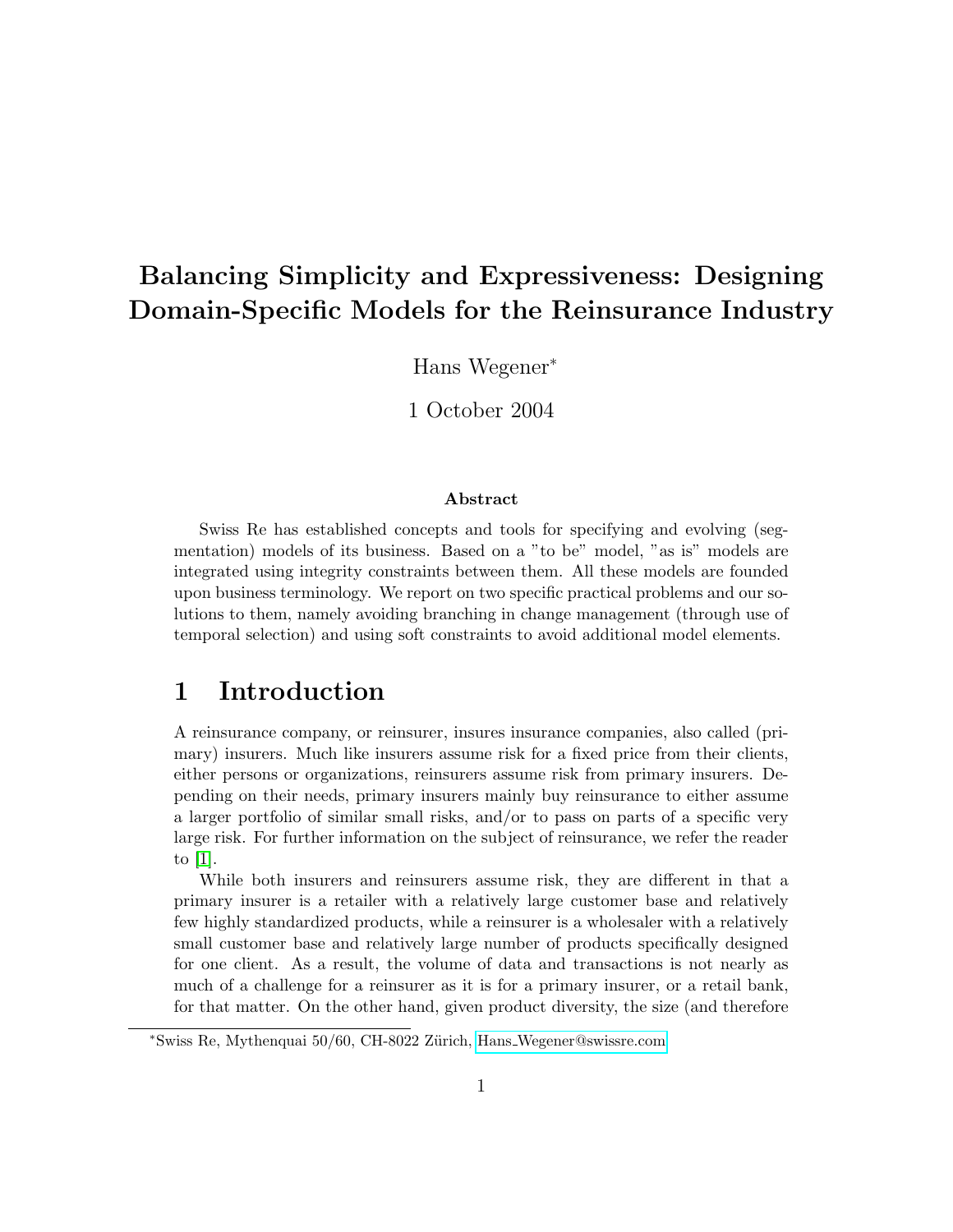# Balancing Simplicity and Expressiveness: Designing Domain-Specific Models for the Reinsurance Industry

Hans Wegener<sup>∗</sup>

1 October 2004

#### Abstract

Swiss Re has established concepts and tools for specifying and evolving (segmentation) models of its business. Based on a "to be" model, "as is" models are integrated using integrity constraints between them. All these models are founded upon business terminology. We report on two specific practical problems and our solutions to them, namely avoiding branching in change management (through use of temporal selection) and using soft constraints to avoid additional model elements.

#### 1 Introduction

A reinsurance company, or reinsurer, insures insurance companies, also called (primary) insurers. Much like insurers assume risk for a fixed price from their clients, either persons or organizations, reinsurers assume risk from primary insurers. Depending on their needs, primary insurers mainly buy reinsurance to either assume a larger portfolio of similar small risks, and/or to pass on parts of a specific very large risk. For further information on the subject of reinsurance, we refer the reader to [\[1\]](#page-10-0).

While both insurers and reinsurers assume risk, they are different in that a primary insurer is a retailer with a relatively large customer base and relatively few highly standardized products, while a reinsurer is a wholesaler with a relatively small customer base and relatively large number of products specifically designed for one client. As a result, the volume of data and transactions is not nearly as much of a challenge for a reinsurer as it is for a primary insurer, or a retail bank, for that matter. On the other hand, given product diversity, the size (and therefore

<sup>∗</sup>Swiss Re, Mythenquai 50/60, CH-8022 Z¨urich, Hans [Wegener@swissre.com](mailto:Hansprotect _Wegener@swissre.com)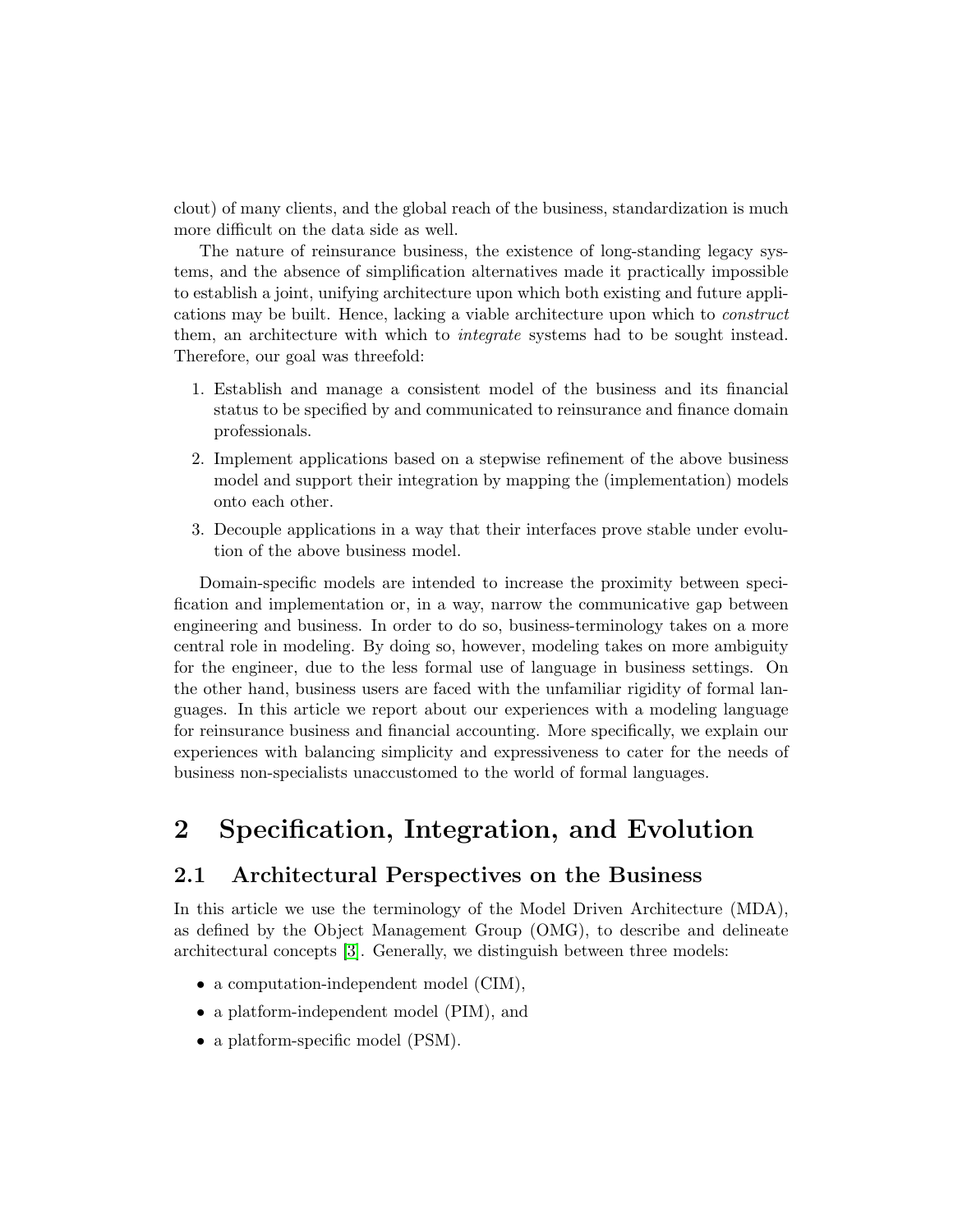clout) of many clients, and the global reach of the business, standardization is much more difficult on the data side as well.

The nature of reinsurance business, the existence of long-standing legacy systems, and the absence of simplification alternatives made it practically impossible to establish a joint, unifying architecture upon which both existing and future applications may be built. Hence, lacking a viable architecture upon which to construct them, an architecture with which to *integrate* systems had to be sought instead. Therefore, our goal was threefold:

- 1. Establish and manage a consistent model of the business and its financial status to be specified by and communicated to reinsurance and finance domain professionals.
- 2. Implement applications based on a stepwise refinement of the above business model and support their integration by mapping the (implementation) models onto each other.
- 3. Decouple applications in a way that their interfaces prove stable under evolution of the above business model.

Domain-specific models are intended to increase the proximity between specification and implementation or, in a way, narrow the communicative gap between engineering and business. In order to do so, business-terminology takes on a more central role in modeling. By doing so, however, modeling takes on more ambiguity for the engineer, due to the less formal use of language in business settings. On the other hand, business users are faced with the unfamiliar rigidity of formal languages. In this article we report about our experiences with a modeling language for reinsurance business and financial accounting. More specifically, we explain our experiences with balancing simplicity and expressiveness to cater for the needs of business non-specialists unaccustomed to the world of formal languages.

## 2 Specification, Integration, and Evolution

#### 2.1 Architectural Perspectives on the Business

In this article we use the terminology of the Model Driven Architecture (MDA), as defined by the Object Management Group (OMG), to describe and delineate architectural concepts [\[3\]](#page-10-1). Generally, we distinguish between three models:

- a computation-independent model (CIM),
- a platform-independent model (PIM), and
- a platform-specific model (PSM).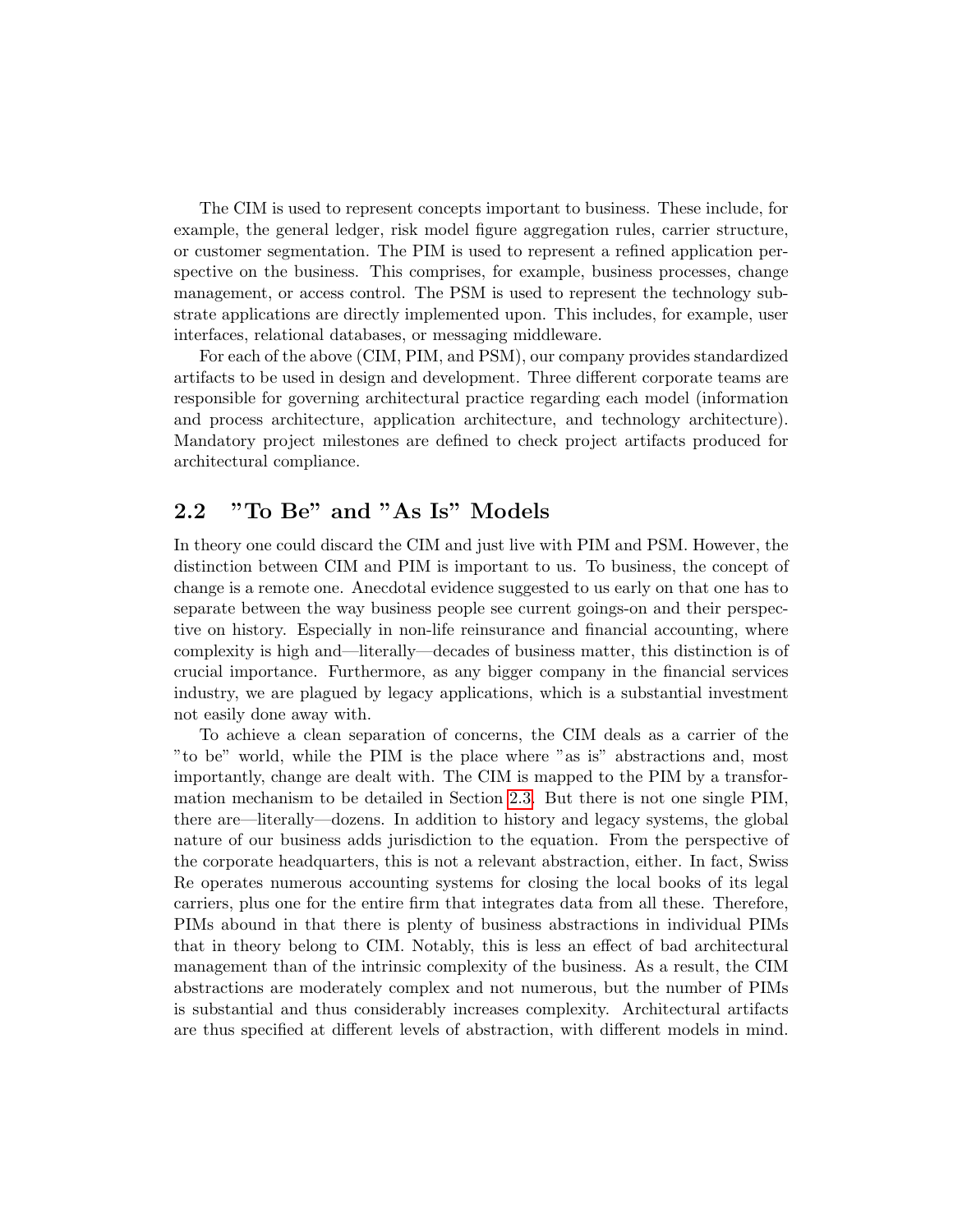The CIM is used to represent concepts important to business. These include, for example, the general ledger, risk model figure aggregation rules, carrier structure, or customer segmentation. The PIM is used to represent a refined application perspective on the business. This comprises, for example, business processes, change management, or access control. The PSM is used to represent the technology substrate applications are directly implemented upon. This includes, for example, user interfaces, relational databases, or messaging middleware.

For each of the above (CIM, PIM, and PSM), our company provides standardized artifacts to be used in design and development. Three different corporate teams are responsible for governing architectural practice regarding each model (information and process architecture, application architecture, and technology architecture). Mandatory project milestones are defined to check project artifacts produced for architectural compliance.

#### 2.2 "To Be" and "As Is" Models

In theory one could discard the CIM and just live with PIM and PSM. However, the distinction between CIM and PIM is important to us. To business, the concept of change is a remote one. Anecdotal evidence suggested to us early on that one has to separate between the way business people see current goings-on and their perspective on history. Especially in non-life reinsurance and financial accounting, where complexity is high and—literally—decades of business matter, this distinction is of crucial importance. Furthermore, as any bigger company in the financial services industry, we are plagued by legacy applications, which is a substantial investment not easily done away with.

To achieve a clean separation of concerns, the CIM deals as a carrier of the "to be" world, while the PIM is the place where "as is" abstractions and, most importantly, change are dealt with. The CIM is mapped to the PIM by a transformation mechanism to be detailed in Section [2.3.](#page-3-0) But there is not one single PIM, there are—literally—dozens. In addition to history and legacy systems, the global nature of our business adds jurisdiction to the equation. From the perspective of the corporate headquarters, this is not a relevant abstraction, either. In fact, Swiss Re operates numerous accounting systems for closing the local books of its legal carriers, plus one for the entire firm that integrates data from all these. Therefore, PIMs abound in that there is plenty of business abstractions in individual PIMs that in theory belong to CIM. Notably, this is less an effect of bad architectural management than of the intrinsic complexity of the business. As a result, the CIM abstractions are moderately complex and not numerous, but the number of PIMs is substantial and thus considerably increases complexity. Architectural artifacts are thus specified at different levels of abstraction, with different models in mind.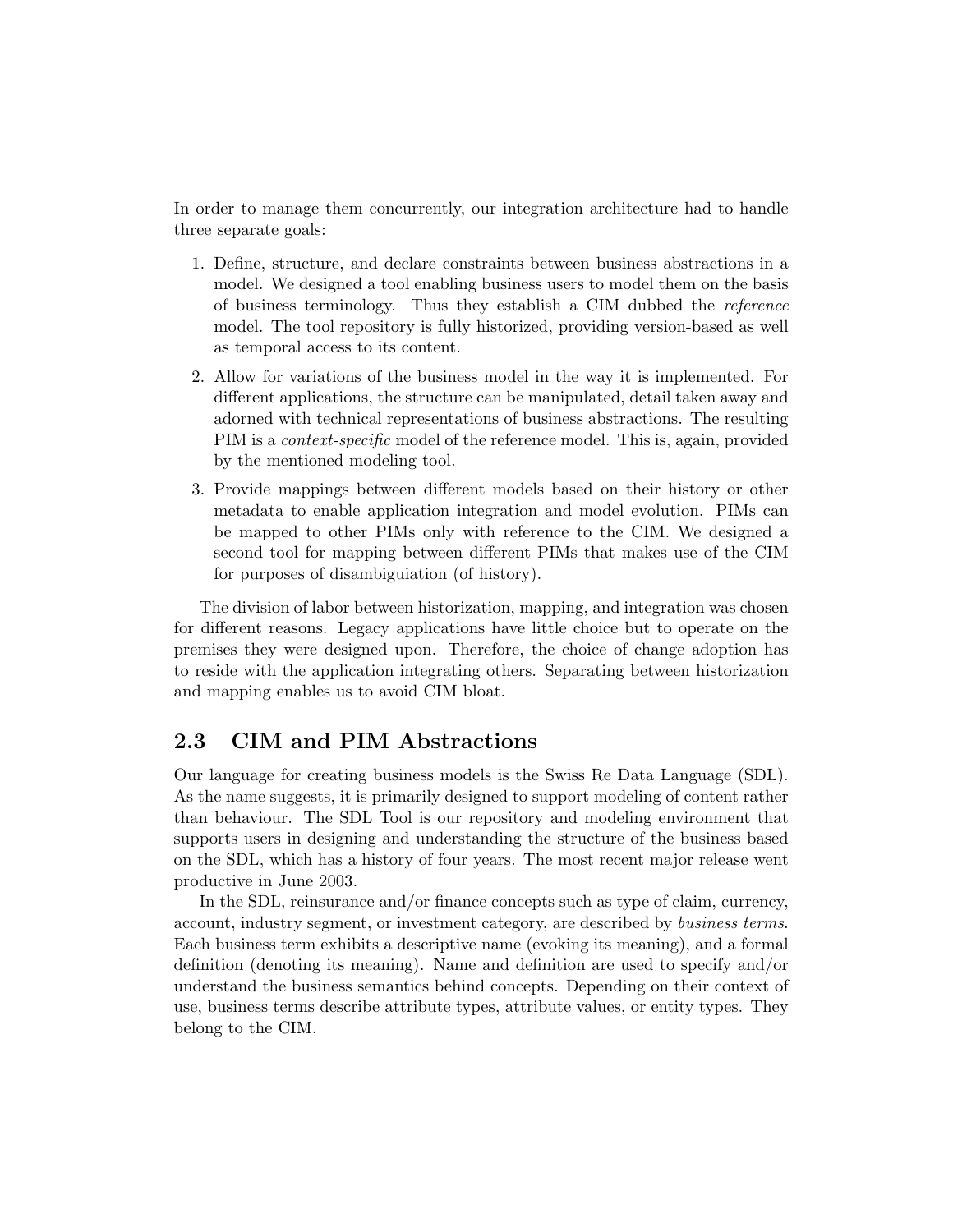In order to manage them concurrently, our integration architecture had to handle three separate goals:

- 1. Define, structure, and declare constraints between business abstractions in a model. We designed a tool enabling business users to model them on the basis of business terminology. Thus they establish a CIM dubbed the reference model. The tool repository is fully historized, providing version-based as well as temporal access to its content.
- 2. Allow for variations of the business model in the way it is implemented. For different applications, the structure can be manipulated, detail taken away and adorned with technical representations of business abstractions. The resulting PIM is a context-specific model of the reference model. This is, again, provided by the mentioned modeling tool.
- 3. Provide mappings between different models based on their history or other metadata to enable application integration and model evolution. PIMs can be mapped to other PIMs only with reference to the CIM. We designed a second tool for mapping between different PIMs that makes use of the CIM for purposes of disambiguiation (of history).

The division of labor between historization, mapping, and integration was chosen for different reasons. Legacy applications have little choice but to operate on the premises they were designed upon. Therefore, the choice of change adoption has to reside with the application integrating others. Separating between historization and mapping enables us to avoid CIM bloat.

#### <span id="page-3-0"></span>2.3 CIM and PIM Abstractions

Our language for creating business models is the Swiss Re Data Language (SDL). As the name suggests, it is primarily designed to support modeling of content rather than behaviour. The SDL Tool is our repository and modeling environment that supports users in designing and understanding the structure of the business based on the SDL, which has a history of four years. The most recent major release went productive in June 2003.

In the SDL, reinsurance and/or finance concepts such as type of claim, currency, account, industry segment, or investment category, are described by business terms. Each business term exhibits a descriptive name (evoking its meaning), and a formal definition (denoting its meaning). Name and definition are used to specify and/or understand the business semantics behind concepts. Depending on their context of use, business terms describe attribute types, attribute values, or entity types. They belong to the CIM.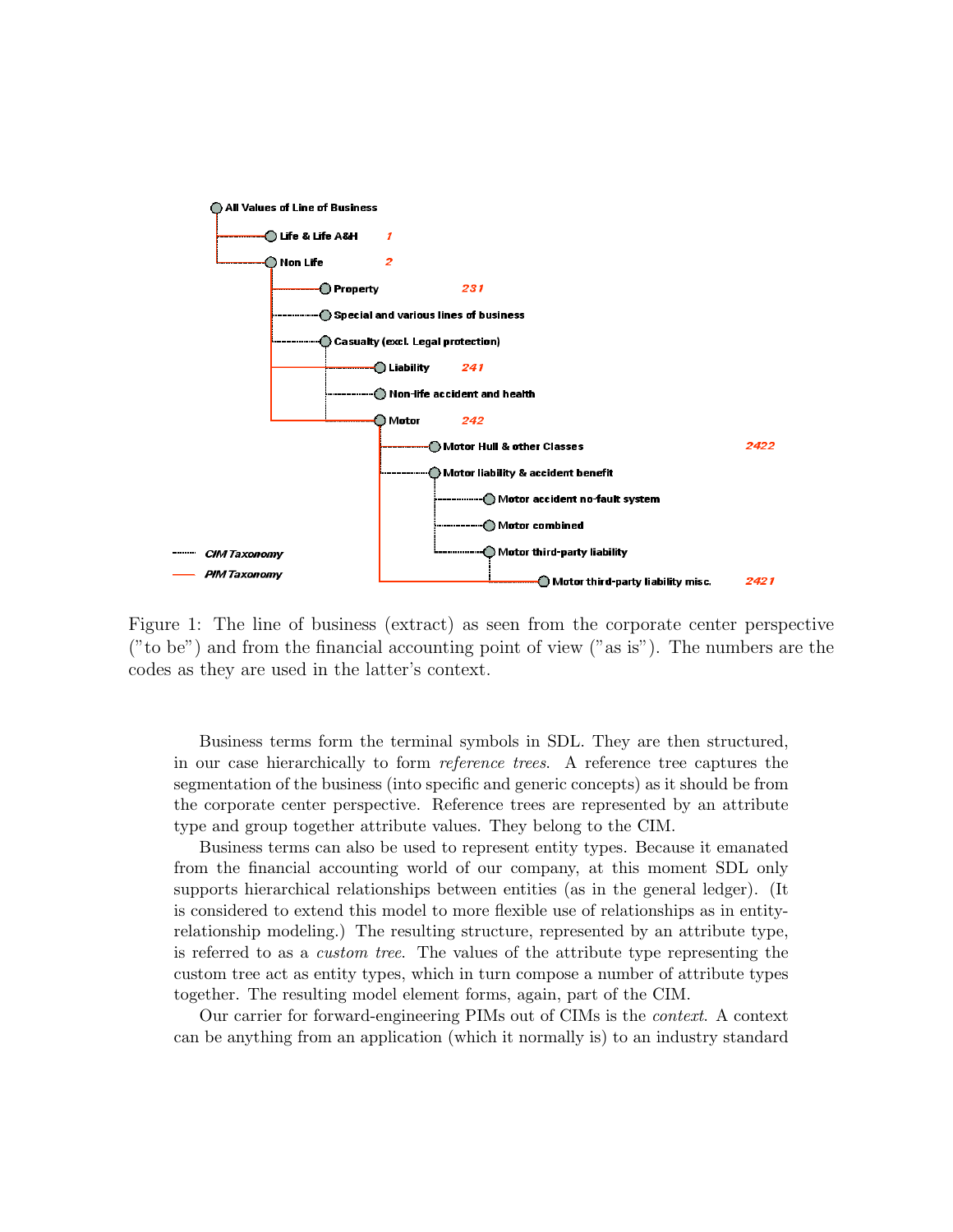

Figure 1: The line of business (extract) as seen from the corporate center perspective ("to be") and from the financial accounting point of view ("as is"). The numbers are the codes as they are used in the latter's context.

Business terms form the terminal symbols in SDL. They are then structured, in our case hierarchically to form reference trees. A reference tree captures the segmentation of the business (into specific and generic concepts) as it should be from the corporate center perspective. Reference trees are represented by an attribute type and group together attribute values. They belong to the CIM.

Business terms can also be used to represent entity types. Because it emanated from the financial accounting world of our company, at this moment SDL only supports hierarchical relationships between entities (as in the general ledger). (It is considered to extend this model to more flexible use of relationships as in entityrelationship modeling.) The resulting structure, represented by an attribute type, is referred to as a custom tree. The values of the attribute type representing the custom tree act as entity types, which in turn compose a number of attribute types together. The resulting model element forms, again, part of the CIM.

Our carrier for forward-engineering PIMs out of CIMs is the context. A context can be anything from an application (which it normally is) to an industry standard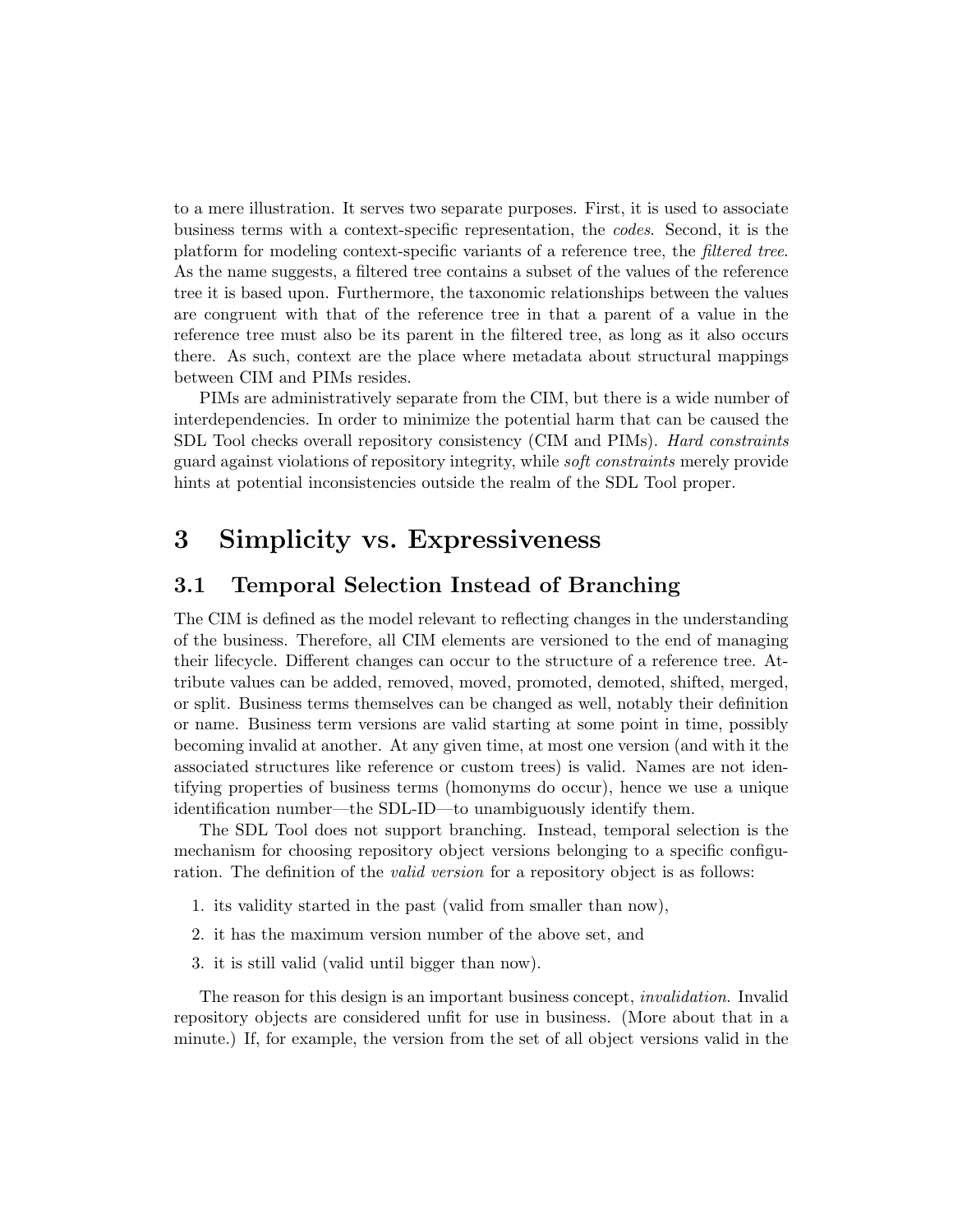to a mere illustration. It serves two separate purposes. First, it is used to associate business terms with a context-specific representation, the codes. Second, it is the platform for modeling context-specific variants of a reference tree, the filtered tree. As the name suggests, a filtered tree contains a subset of the values of the reference tree it is based upon. Furthermore, the taxonomic relationships between the values are congruent with that of the reference tree in that a parent of a value in the reference tree must also be its parent in the filtered tree, as long as it also occurs there. As such, context are the place where metadata about structural mappings between CIM and PIMs resides.

PIMs are administratively separate from the CIM, but there is a wide number of interdependencies. In order to minimize the potential harm that can be caused the SDL Tool checks overall repository consistency (CIM and PIMs). Hard constraints guard against violations of repository integrity, while soft constraints merely provide hints at potential inconsistencies outside the realm of the SDL Tool proper.

### 3 Simplicity vs. Expressiveness

#### 3.1 Temporal Selection Instead of Branching

The CIM is defined as the model relevant to reflecting changes in the understanding of the business. Therefore, all CIM elements are versioned to the end of managing their lifecycle. Different changes can occur to the structure of a reference tree. Attribute values can be added, removed, moved, promoted, demoted, shifted, merged, or split. Business terms themselves can be changed as well, notably their definition or name. Business term versions are valid starting at some point in time, possibly becoming invalid at another. At any given time, at most one version (and with it the associated structures like reference or custom trees) is valid. Names are not identifying properties of business terms (homonyms do occur), hence we use a unique identification number—the SDL-ID—to unambiguously identify them.

The SDL Tool does not support branching. Instead, temporal selection is the mechanism for choosing repository object versions belonging to a specific configuration. The definition of the *valid version* for a repository object is as follows:

- 1. its validity started in the past (valid from smaller than now),
- 2. it has the maximum version number of the above set, and
- 3. it is still valid (valid until bigger than now).

The reason for this design is an important business concept, invalidation. Invalid repository objects are considered unfit for use in business. (More about that in a minute.) If, for example, the version from the set of all object versions valid in the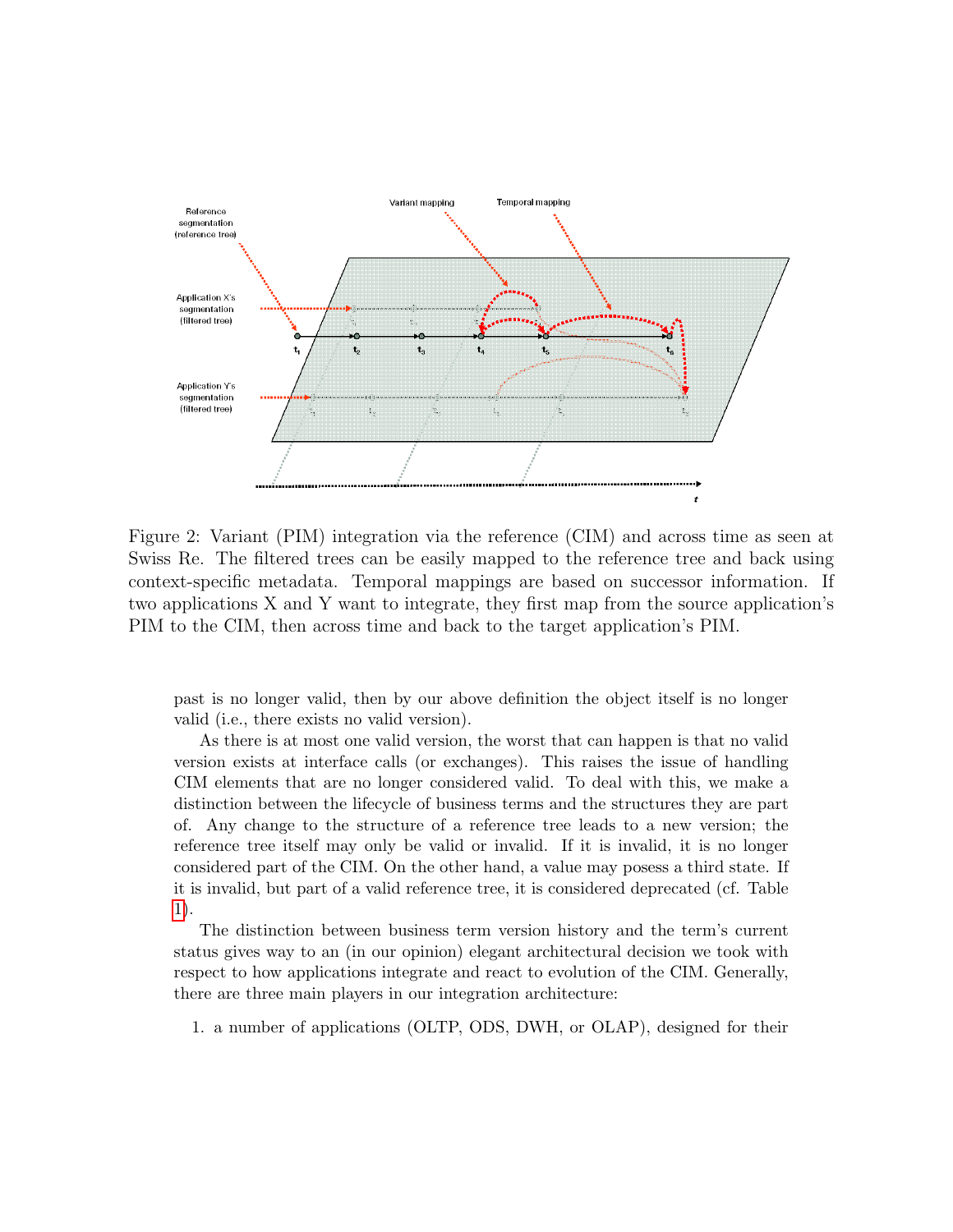

Figure 2: Variant (PIM) integration via the reference (CIM) and across time as seen at Swiss Re. The filtered trees can be easily mapped to the reference tree and back using context-specific metadata. Temporal mappings are based on successor information. If two applications X and Y want to integrate, they first map from the source application's PIM to the CIM, then across time and back to the target application's PIM.

past is no longer valid, then by our above definition the object itself is no longer valid (i.e., there exists no valid version).

As there is at most one valid version, the worst that can happen is that no valid version exists at interface calls (or exchanges). This raises the issue of handling CIM elements that are no longer considered valid. To deal with this, we make a distinction between the lifecycle of business terms and the structures they are part of. Any change to the structure of a reference tree leads to a new version; the reference tree itself may only be valid or invalid. If it is invalid, it is no longer considered part of the CIM. On the other hand, a value may posess a third state. If it is invalid, but part of a valid reference tree, it is considered deprecated (cf. Table [1\)](#page-7-0).

The distinction between business term version history and the term's current status gives way to an (in our opinion) elegant architectural decision we took with respect to how applications integrate and react to evolution of the CIM. Generally, there are three main players in our integration architecture:

1. a number of applications (OLTP, ODS, DWH, or OLAP), designed for their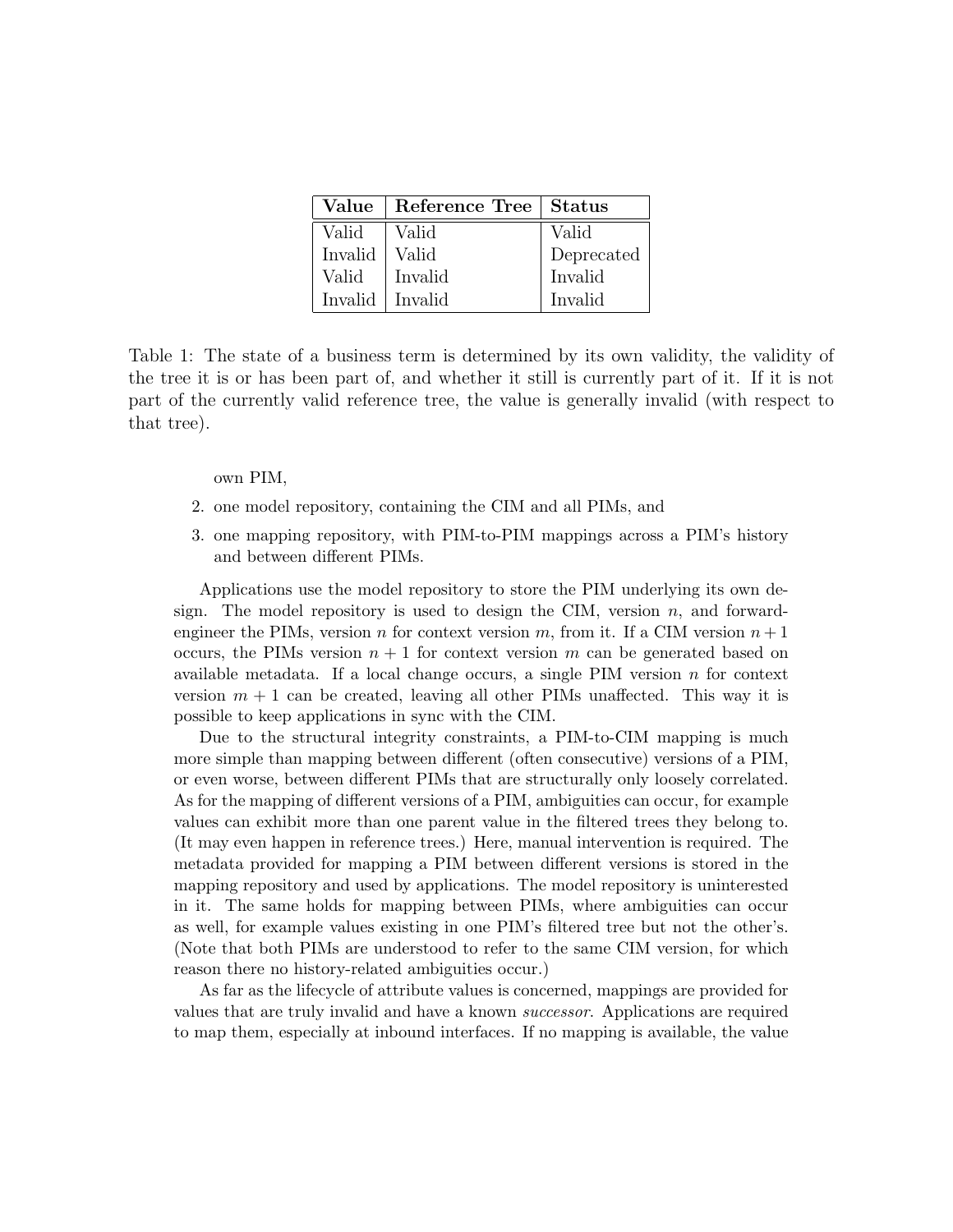| Value   | Reference Tree   Status |            |
|---------|-------------------------|------------|
| Valid   | Valid                   | Valid      |
| Invalid | Valid                   | Deprecated |
| Valid   | Invalid                 | Invalid    |
| Invalid | Invalid                 | Invalid    |

<span id="page-7-0"></span>Table 1: The state of a business term is determined by its own validity, the validity of the tree it is or has been part of, and whether it still is currently part of it. If it is not part of the currently valid reference tree, the value is generally invalid (with respect to that tree).

own PIM,

- 2. one model repository, containing the CIM and all PIMs, and
- 3. one mapping repository, with PIM-to-PIM mappings across a PIM's history and between different PIMs.

Applications use the model repository to store the PIM underlying its own design. The model repository is used to design the CIM, version  $n$ , and forwardengineer the PIMs, version n for context version m, from it. If a CIM version  $n+1$ occurs, the PIMs version  $n+1$  for context version m can be generated based on available metadata. If a local change occurs, a single PIM version  $n$  for context version  $m + 1$  can be created, leaving all other PIMs unaffected. This way it is possible to keep applications in sync with the CIM.

Due to the structural integrity constraints, a PIM-to-CIM mapping is much more simple than mapping between different (often consecutive) versions of a PIM, or even worse, between different PIMs that are structurally only loosely correlated. As for the mapping of different versions of a PIM, ambiguities can occur, for example values can exhibit more than one parent value in the filtered trees they belong to. (It may even happen in reference trees.) Here, manual intervention is required. The metadata provided for mapping a PIM between different versions is stored in the mapping repository and used by applications. The model repository is uninterested in it. The same holds for mapping between PIMs, where ambiguities can occur as well, for example values existing in one PIM's filtered tree but not the other's. (Note that both PIMs are understood to refer to the same CIM version, for which reason there no history-related ambiguities occur.)

As far as the lifecycle of attribute values is concerned, mappings are provided for values that are truly invalid and have a known successor. Applications are required to map them, especially at inbound interfaces. If no mapping is available, the value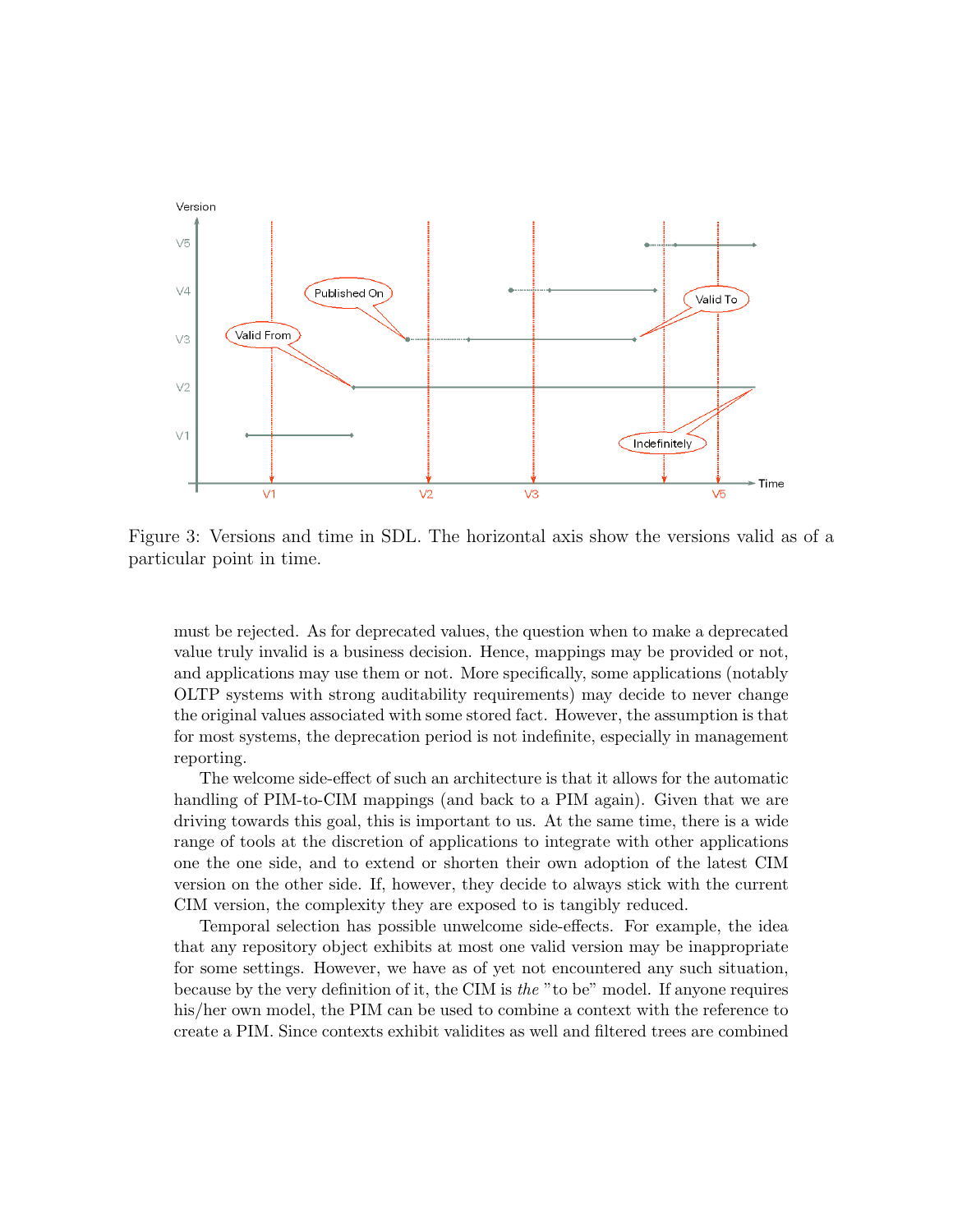

Figure 3: Versions and time in SDL. The horizontal axis show the versions valid as of a particular point in time.

must be rejected. As for deprecated values, the question when to make a deprecated value truly invalid is a business decision. Hence, mappings may be provided or not, and applications may use them or not. More specifically, some applications (notably OLTP systems with strong auditability requirements) may decide to never change the original values associated with some stored fact. However, the assumption is that for most systems, the deprecation period is not indefinite, especially in management reporting.

The welcome side-effect of such an architecture is that it allows for the automatic handling of PIM-to-CIM mappings (and back to a PIM again). Given that we are driving towards this goal, this is important to us. At the same time, there is a wide range of tools at the discretion of applications to integrate with other applications one the one side, and to extend or shorten their own adoption of the latest CIM version on the other side. If, however, they decide to always stick with the current CIM version, the complexity they are exposed to is tangibly reduced.

Temporal selection has possible unwelcome side-effects. For example, the idea that any repository object exhibits at most one valid version may be inappropriate for some settings. However, we have as of yet not encountered any such situation, because by the very definition of it, the CIM is the "to be" model. If anyone requires his/her own model, the PIM can be used to combine a context with the reference to create a PIM. Since contexts exhibit validites as well and filtered trees are combined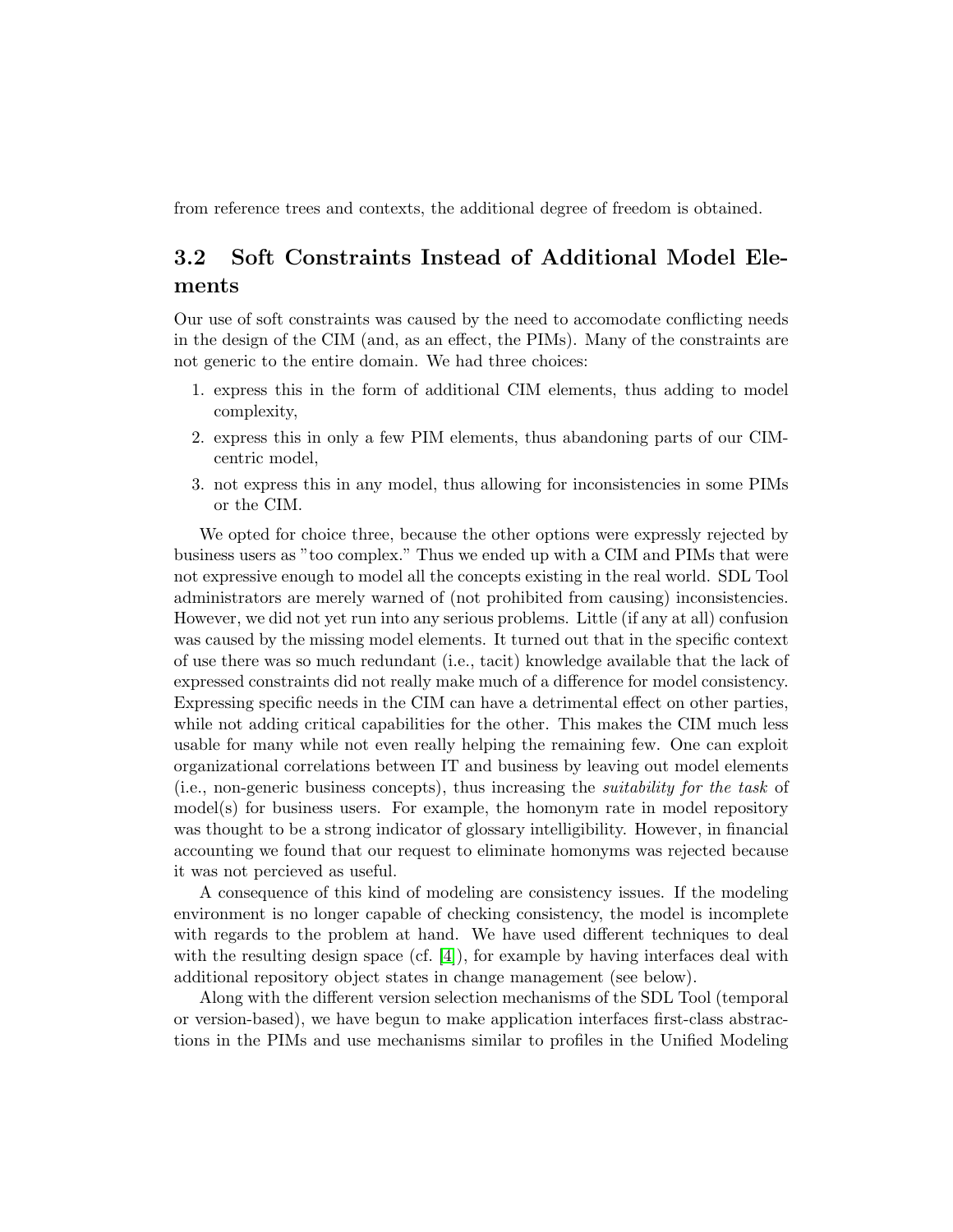from reference trees and contexts, the additional degree of freedom is obtained.

#### 3.2 Soft Constraints Instead of Additional Model Elements

Our use of soft constraints was caused by the need to accomodate conflicting needs in the design of the CIM (and, as an effect, the PIMs). Many of the constraints are not generic to the entire domain. We had three choices:

- 1. express this in the form of additional CIM elements, thus adding to model complexity,
- 2. express this in only a few PIM elements, thus abandoning parts of our CIMcentric model,
- 3. not express this in any model, thus allowing for inconsistencies in some PIMs or the CIM.

We opted for choice three, because the other options were expressly rejected by business users as "too complex." Thus we ended up with a CIM and PIMs that were not expressive enough to model all the concepts existing in the real world. SDL Tool administrators are merely warned of (not prohibited from causing) inconsistencies. However, we did not yet run into any serious problems. Little (if any at all) confusion was caused by the missing model elements. It turned out that in the specific context of use there was so much redundant (i.e., tacit) knowledge available that the lack of expressed constraints did not really make much of a difference for model consistency. Expressing specific needs in the CIM can have a detrimental effect on other parties, while not adding critical capabilities for the other. This makes the CIM much less usable for many while not even really helping the remaining few. One can exploit organizational correlations between IT and business by leaving out model elements (i.e., non-generic business concepts), thus increasing the suitability for the task of model(s) for business users. For example, the homonym rate in model repository was thought to be a strong indicator of glossary intelligibility. However, in financial accounting we found that our request to eliminate homonyms was rejected because it was not percieved as useful.

A consequence of this kind of modeling are consistency issues. If the modeling environment is no longer capable of checking consistency, the model is incomplete with regards to the problem at hand. We have used different techniques to deal with the resulting design space (cf.  $[4]$ ), for example by having interfaces deal with additional repository object states in change management (see below).

Along with the different version selection mechanisms of the SDL Tool (temporal or version-based), we have begun to make application interfaces first-class abstractions in the PIMs and use mechanisms similar to profiles in the Unified Modeling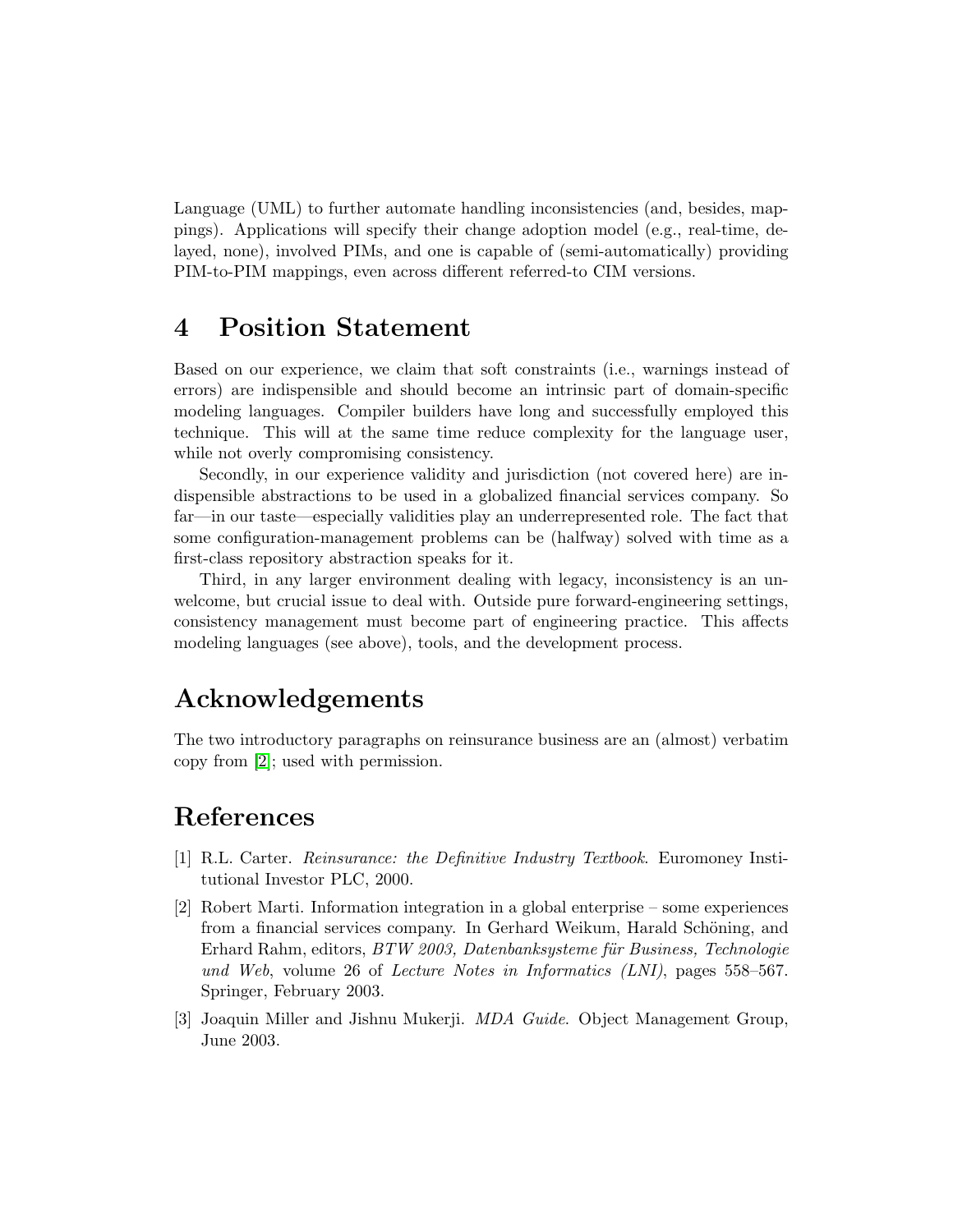Language (UML) to further automate handling inconsistencies (and, besides, mappings). Applications will specify their change adoption model (e.g., real-time, delayed, none), involved PIMs, and one is capable of (semi-automatically) providing PIM-to-PIM mappings, even across different referred-to CIM versions.

#### 4 Position Statement

Based on our experience, we claim that soft constraints (i.e., warnings instead of errors) are indispensible and should become an intrinsic part of domain-specific modeling languages. Compiler builders have long and successfully employed this technique. This will at the same time reduce complexity for the language user, while not overly compromising consistency.

Secondly, in our experience validity and jurisdiction (not covered here) are indispensible abstractions to be used in a globalized financial services company. So far—in our taste—especially validities play an underrepresented role. The fact that some configuration-management problems can be (halfway) solved with time as a first-class repository abstraction speaks for it.

Third, in any larger environment dealing with legacy, inconsistency is an unwelcome, but crucial issue to deal with. Outside pure forward-engineering settings, consistency management must become part of engineering practice. This affects modeling languages (see above), tools, and the development process.

## Acknowledgements

The two introductory paragraphs on reinsurance business are an (almost) verbatim copy from [\[2\]](#page-10-2); used with permission.

## References

- <span id="page-10-0"></span>[1] R.L. Carter. Reinsurance: the Definitive Industry Textbook. Euromoney Institutional Investor PLC, 2000.
- <span id="page-10-2"></span>[2] Robert Marti. Information integration in a global enterprise – some experiences from a financial services company. In Gerhard Weikum, Harald Schöning, and Erhard Rahm, editors, BTW 2003, Datenbanksysteme für Business, Technologie und Web, volume 26 of Lecture Notes in Informatics (LNI), pages 558–567. Springer, February 2003.
- <span id="page-10-1"></span>[3] Joaquin Miller and Jishnu Mukerji. MDA Guide. Object Management Group, June 2003.